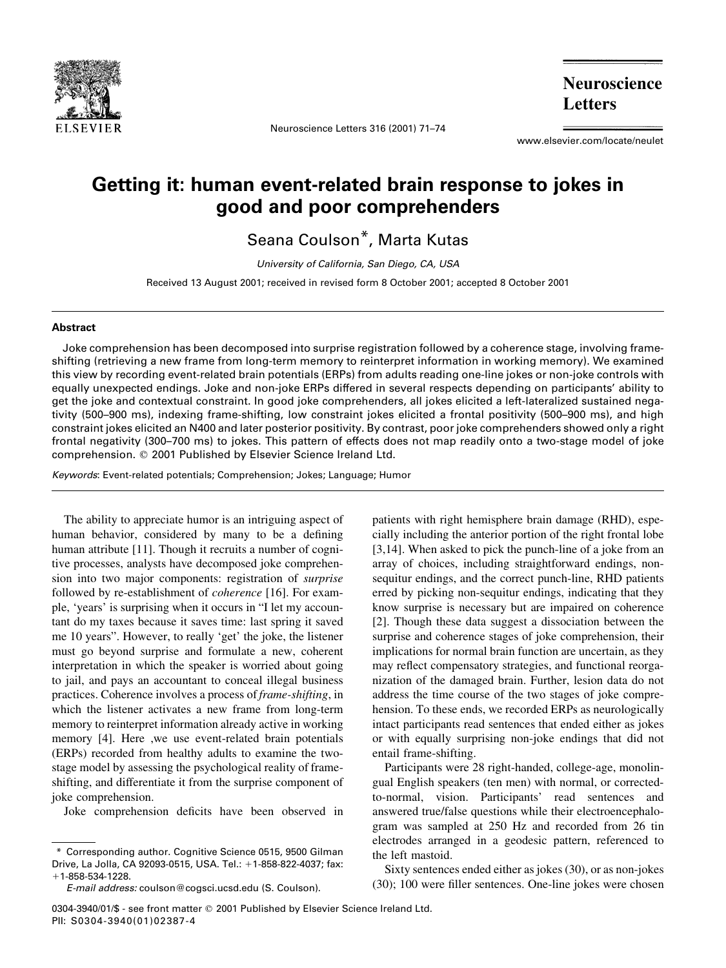

Neuroscience Letters 316 (2001) 71–74

**Neuroscience Letters** 

www.elsevier.com/locate/neulet

## Getting it: human event-related brain response to jokes in good and poor comprehenders

Seana Coulson\*, Marta Kutas

University of California, San Diego, CA, USA

Received 13 August 2001; received in revised form 8 October 2001; accepted 8 October 2001

## Abstract

Joke comprehension has been decomposed into surprise registration followed by a coherence stage, involving frameshifting (retrieving a new frame from long-term memory to reinterpret information in working memory). We examined this view by recording event-related brain potentials (ERPs) from adults reading one-line jokes or non-joke controls with equally unexpected endings. Joke and non-joke ERPs differed in several respects depending on participants' ability to get the joke and contextual constraint. In good joke comprehenders, all jokes elicited a left-lateralized sustained negativity (500–900 ms), indexing frame-shifting, low constraint jokes elicited a frontal positivity (500–900 ms), and high constraint jokes elicited an N400 and later posterior positivity. By contrast, poor joke comprehenders showed only a right frontal negativity (300–700 ms) to jokes. This pattern of effects does not map readily onto a two-stage model of joke comprehension. q 2001 Published by Elsevier Science Ireland Ltd.

Keywords: Event-related potentials; Comprehension; Jokes; Language; Humor

The ability to appreciate humor is an intriguing aspect of human behavior, considered by many to be a defining human attribute [11]. Though it recruits a number of cognitive processes, analysts have decomposed joke comprehension into two major components: registration of surprise followed by re-establishment of *coherence* [16]. For example, 'years' is surprising when it occurs in "I let my accountant do my taxes because it saves time: last spring it saved me 10 years". However, to really 'get' the joke, the listener must go beyond surprise and formulate a new, coherent interpretation in which the speaker is worried about going to jail, and pays an accountant to conceal illegal business practices. Coherence involves a process of frame-shifting, in which the listener activates a new frame from long-term memory to reinterpret information already active in working memory [4]. Here ,we use event-related brain potentials (ERPs) recorded from healthy adults to examine the twostage model by assessing the psychological reality of frameshifting, and differentiate it from the surprise component of joke comprehension.

Joke comprehension deficits have been observed in

\* Corresponding author. Cognitive Science 0515, 9500 Gilman Drive, La Jolla, CA 92093-0515, USA. Tel.: +1-858-822-4037; fax:  $+1-858-534-1228.$ 

patients with right hemisphere brain damage (RHD), especially including the anterior portion of the right frontal lobe [3,14]. When asked to pick the punch-line of a joke from an array of choices, including straightforward endings, nonsequitur endings, and the correct punch-line, RHD patients erred by picking non-sequitur endings, indicating that they know surprise is necessary but are impaired on coherence [2]. Though these data suggest a dissociation between the surprise and coherence stages of joke comprehension, their implications for normal brain function are uncertain, as they may reflect compensatory strategies, and functional reorganization of the damaged brain. Further, lesion data do not address the time course of the two stages of joke comprehension. To these ends, we recorded ERPs as neurologically intact participants read sentences that ended either as jokes or with equally surprising non-joke endings that did not entail frame-shifting.

Participants were 28 right-handed, college-age, monolingual English speakers (ten men) with normal, or correctedto-normal, vision. Participants' read sentences and answered true/false questions while their electroencephalogram was sampled at 250 Hz and recorded from 26 tin electrodes arranged in a geodesic pattern, referenced to the left mastoid.

Sixty sentences ended either as jokes (30), or as non-jokes (30); 100 were filler sentences. One-line jokes were chosen

E-mail address: coulson@cogsci.ucsd.edu (S. Coulson).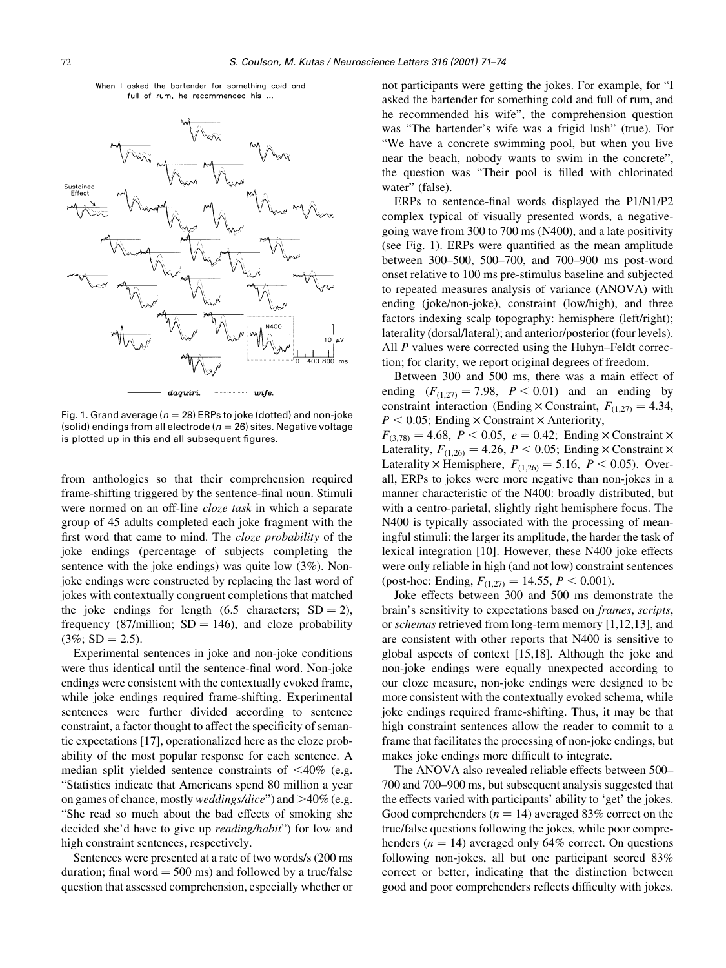



Fig. 1. Grand average ( $n = 28$ ) ERPs to joke (dotted) and non-joke (solid) endings from all electrode ( $n = 26$ ) sites. Negative voltage is plotted up in this and all subsequent figures.

from anthologies so that their comprehension required frame-shifting triggered by the sentence-final noun. Stimuli were normed on an off-line cloze task in which a separate group of 45 adults completed each joke fragment with the first word that came to mind. The cloze probability of the joke endings (percentage of subjects completing the sentence with the joke endings) was quite low (3%). Nonjoke endings were constructed by replacing the last word of jokes with contextually congruent completions that matched the joke endings for length (6.5 characters;  $SD = 2$ ), frequency (87/million;  $SD = 146$ ), and cloze probability  $(3\%; SD = 2.5).$ 

Experimental sentences in joke and non-joke conditions were thus identical until the sentence-final word. Non-joke endings were consistent with the contextually evoked frame, while joke endings required frame-shifting. Experimental sentences were further divided according to sentence constraint, a factor thought to affect the specificity of semantic expectations [17], operationalized here as the cloze probability of the most popular response for each sentence. A median split yielded sentence constraints of  $\langle 40\% \rangle$  (e.g. "Statistics indicate that Americans spend 80 million a year on games of chance, mostly *weddings/dice*" and  $>40\%$  (e.g. "She read so much about the bad effects of smoking she decided she'd have to give up reading/habit") for low and high constraint sentences, respectively.

Sentences were presented at a rate of two words/s (200 ms duration; final word  $=$  500 ms) and followed by a true/false question that assessed comprehension, especially whether or not participants were getting the jokes. For example, for "I asked the bartender for something cold and full of rum, and he recommended his wife", the comprehension question was "The bartender's wife was a frigid lush" (true). For "We have a concrete swimming pool, but when you live near the beach, nobody wants to swim in the concrete", the question was "Their pool is filled with chlorinated water" (false).

ERPs to sentence-final words displayed the P1/N1/P2 complex typical of visually presented words, a negativegoing wave from 300 to 700 ms (N400), and a late positivity (see Fig. 1). ERPs were quantified as the mean amplitude between 300–500, 500–700, and 700–900 ms post-word onset relative to 100 ms pre-stimulus baseline and subjected to repeated measures analysis of variance (ANOVA) with ending (joke/non-joke), constraint (low/high), and three factors indexing scalp topography: hemisphere (left/right); laterality (dorsal/lateral); and anterior/posterior (four levels). All P values were corrected using the Huhyn–Feldt correction; for clarity, we report original degrees of freedom.

Between 300 and 500 ms, there was a main effect of ending  $(F_{(1,27)} = 7.98, P \le 0.01)$  and an ending by constraint interaction (Ending  $\times$  Constraint,  $F_{(1,27)} = 4.34$ ,  $P < 0.05$ ; Ending  $\times$  Constraint  $\times$  Anteriority,  $F_{(3,78)} = 4.68, P < 0.05, e = 0.42;$  Ending  $\times$  Constraint  $\times$ Laterality,  $F_{(1,26)} = 4.26$ ,  $P < 0.05$ ; Ending  $\times$  Constraint  $\times$ Laterality  $\times$  Hemisphere,  $F_{(1,26)} = 5.16$ ,  $P < 0.05$ ). Over-

all, ERPs to jokes were more negative than non-jokes in a manner characteristic of the N400: broadly distributed, but with a centro-parietal, slightly right hemisphere focus. The N400 is typically associated with the processing of meaningful stimuli: the larger its amplitude, the harder the task of lexical integration [10]. However, these N400 joke effects were only reliable in high (and not low) constraint sentences (post-hoc: Ending,  $F_{(1,27)} = 14.55$ ,  $P < 0.001$ ).

Joke effects between 300 and 500 ms demonstrate the brain's sensitivity to expectations based on frames, scripts, or schemas retrieved from long-term memory [1,12,13], and are consistent with other reports that N400 is sensitive to global aspects of context [15,18]. Although the joke and non-joke endings were equally unexpected according to our cloze measure, non-joke endings were designed to be more consistent with the contextually evoked schema, while joke endings required frame-shifting. Thus, it may be that high constraint sentences allow the reader to commit to a frame that facilitates the processing of non-joke endings, but makes joke endings more difficult to integrate.

The ANOVA also revealed reliable effects between 500– 700 and 700–900 ms, but subsequent analysis suggested that the effects varied with participants' ability to 'get' the jokes. Good comprehenders ( $n = 14$ ) averaged 83% correct on the true/false questions following the jokes, while poor comprehenders ( $n = 14$ ) averaged only 64% correct. On questions following non-jokes, all but one participant scored 83% correct or better, indicating that the distinction between good and poor comprehenders reflects difficulty with jokes.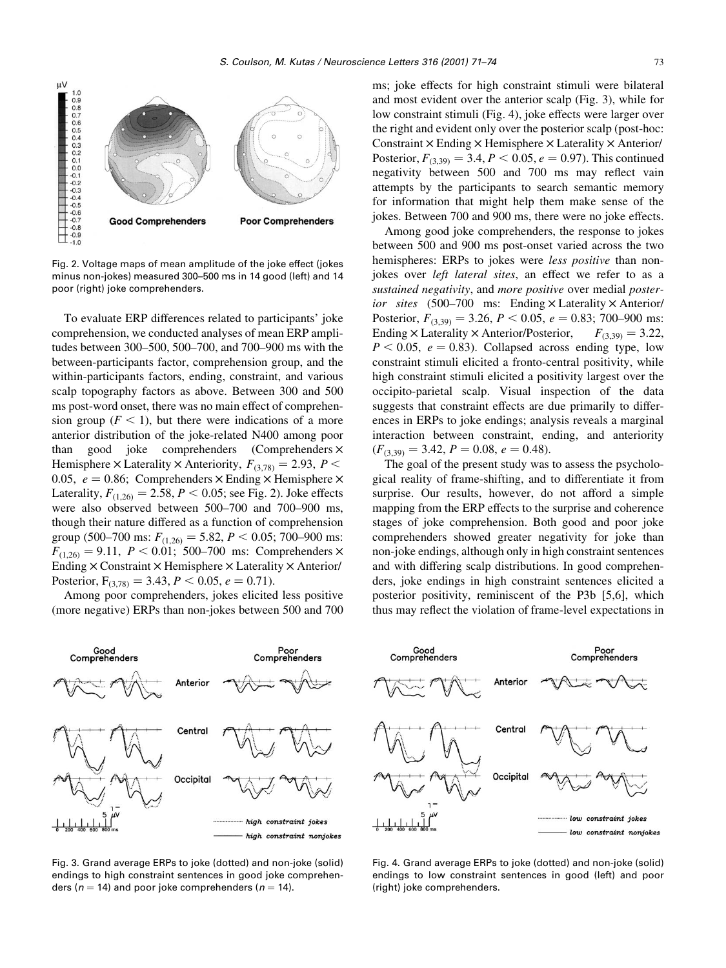

Fig. 2. Voltage maps of mean amplitude of the joke effect (jokes minus non-jokes) measured 300–500 ms in 14 good (left) and 14 poor (right) joke comprehenders.

To evaluate ERP differences related to participants' joke comprehension, we conducted analyses of mean ERP amplitudes between 300–500, 500–700, and 700–900 ms with the between-participants factor, comprehension group, and the within-participants factors, ending, constraint, and various scalp topography factors as above. Between 300 and 500 ms post-word onset, there was no main effect of comprehension group ( $F < 1$ ), but there were indications of a more anterior distribution of the joke-related N400 among poor than good joke comprehenders (Comprehenders  $\times$ Hemisphere  $\times$  Laterality  $\times$  Anteriority,  $F_{(3,78)} = 2.93$ ,  $P \leq$ 0.05,  $e = 0.86$ ; Comprehenders  $\times$  Ending  $\times$  Hemisphere  $\times$ Laterality,  $F_{(1,26)} = 2.58$ ,  $P < 0.05$ ; see Fig. 2). Joke effects were also observed between 500–700 and 700–900 ms, though their nature differed as a function of comprehension group (500–700 ms:  $F_{(1,26)} = 5.82, P < 0.05; 700$ –900 ms:  $F_{(1,26)} = 9.11$ ,  $P < 0.01$ ; 500–700 ms: Comprehenders  $\times$ Ending  $\times$  Constraint  $\times$  Hemisphere  $\times$  Laterality  $\times$  Anterior/ Posterior,  $F_{(3,78)} = 3.43, P < 0.05, e = 0.71$ .

Among poor comprehenders, jokes elicited less positive (more negative) ERPs than non-jokes between 500 and 700 ms; joke effects for high constraint stimuli were bilateral and most evident over the anterior scalp (Fig. 3), while for low constraint stimuli (Fig. 4), joke effects were larger over the right and evident only over the posterior scalp (post-hoc: Constraint  $\times$  Ending  $\times$  Hemisphere  $\times$  Laterality  $\times$  Anterior/ Posterior,  $F_{(3,39)} = 3.4, P < 0.05, e = 0.97$ . This continued negativity between 500 and 700 ms may reflect vain attempts by the participants to search semantic memory for information that might help them make sense of the jokes. Between 700 and 900 ms, there were no joke effects.

Among good joke comprehenders, the response to jokes between 500 and 900 ms post-onset varied across the two hemispheres: ERPs to jokes were *less positive* than nonjokes over *left lateral sites*, an effect we refer to as a sustained negativity, and more positive over medial posterior sites  $(500-700$  ms: Ending  $\times$  Laterality  $\times$  Anterior/ Posterior,  $F_{(3,39)} = 3.26$ ,  $P < 0.05$ ,  $e = 0.83$ ; 700–900 ms: Ending  $\times$  Laterality  $\times$  Anterior/Posterior,  $F_{(3,39)} = 3.22$ ,  $P < 0.05$ ,  $e = 0.83$ ). Collapsed across ending type, low constraint stimuli elicited a fronto-central positivity, while high constraint stimuli elicited a positivity largest over the occipito-parietal scalp. Visual inspection of the data suggests that constraint effects are due primarily to differences in ERPs to joke endings; analysis reveals a marginal interaction between constraint, ending, and anteriority  $(F_{(3,39)} = 3.42, P = 0.08, e = 0.48).$ 

The goal of the present study was to assess the psychological reality of frame-shifting, and to differentiate it from surprise. Our results, however, do not afford a simple mapping from the ERP effects to the surprise and coherence stages of joke comprehension. Both good and poor joke comprehenders showed greater negativity for joke than non-joke endings, although only in high constraint sentences and with differing scalp distributions. In good comprehenders, joke endings in high constraint sentences elicited a posterior positivity, reminiscent of the P3b [5,6], which thus may reflect the violation of frame-level expectations in



Fig. 3. Grand average ERPs to joke (dotted) and non-joke (solid) endings to high constraint sentences in good joke comprehenders ( $n = 14$ ) and poor joke comprehenders ( $n = 14$ ).



Fig. 4. Grand average ERPs to joke (dotted) and non-joke (solid) endings to low constraint sentences in good (left) and poor (right) joke comprehenders.